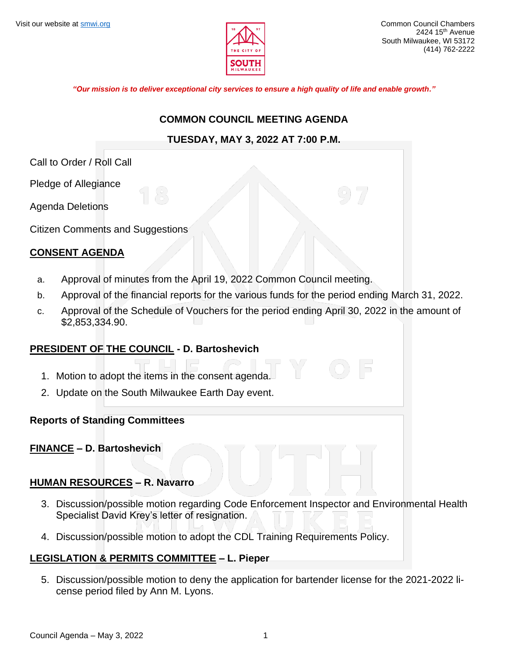

*"Our mission is to deliver exceptional city services to ensure a high quality of life and enable growth."*

#### **COMMON COUNCIL MEETING AGENDA**

## **TUESDAY, MAY 3, 2022 AT 7:00 P.M.**

Call to Order / Roll Call

Pledge of Allegiance

Agenda Deletions

Citizen Comments and Suggestions

# **CONSENT AGENDA**

- a. Approval of minutes from the April 19, 2022 Common Council meeting.
- b. Approval of the financial reports for the various funds for the period ending March 31, 2022.
- c. Approval of the Schedule of Vouchers for the period ending April 30, 2022 in the amount of \$2,853,334.90.

## **PRESIDENT OF THE COUNCIL - D. Bartoshevich**

- 1. Motion to adopt the items in the consent agenda.
- 2. Update on the South Milwaukee Earth Day event.

## **Reports of Standing Committees**

## **FINANCE – D. Bartoshevich**

## **HUMAN RESOURCES – R. Navarro**

- 3. Discussion/possible motion regarding Code Enforcement Inspector and Environmental Health Specialist David Krey's letter of resignation.
- 4. Discussion/possible motion to adopt the CDL Training Requirements Policy.

## **LEGISLATION & PERMITS COMMITTEE – L. Pieper**

5. Discussion/possible motion to deny the application for bartender license for the 2021-2022 license period filed by Ann M. Lyons.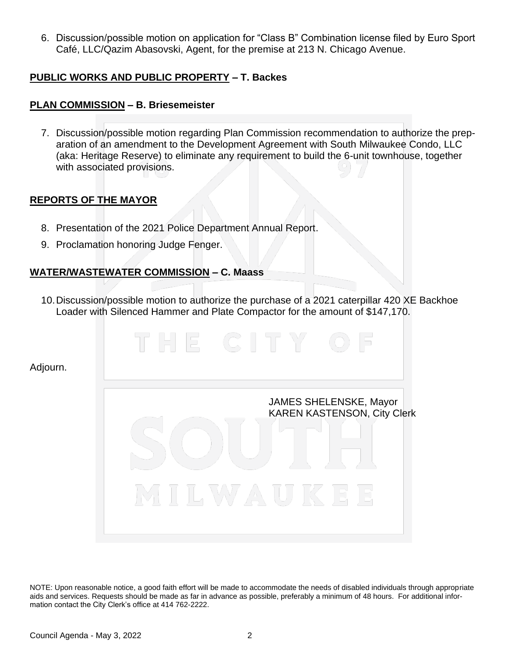6. Discussion/possible motion on application for "Class B" Combination license filed by Euro Sport Café, LLC/Qazim Abasovski, Agent, for the premise at 213 N. Chicago Avenue.

## **PUBLIC WORKS AND PUBLIC PROPERTY – T. Backes**

# **PLAN COMMISSION – B. Briesemeister**

7. Discussion/possible motion regarding Plan Commission recommendation to authorize the preparation of an amendment to the Development Agreement with South Milwaukee Condo, LLC (aka: Heritage Reserve) to eliminate any requirement to build the 6-unit townhouse, together with associated provisions.

## **REPORTS OF THE MAYOR**

Adjourn.

- 8. Presentation of the 2021 Police Department Annual Report.
- 9. Proclamation honoring Judge Fenger.

#### **WATER/WASTEWATER COMMISSION – C. Maass**

10.Discussion/possible motion to authorize the purchase of a 2021 caterpillar 420 XE Backhoe Loader with Silenced Hammer and Plate Compactor for the amount of \$147,170.

> JAMES SHELENSKE, Mayor KAREN KASTENSON, City Clerk

NOTE: Upon reasonable notice, a good faith effort will be made to accommodate the needs of disabled individuals through appropriate aids and services. Requests should be made as far in advance as possible, preferably a minimum of 48 hours. For additional information contact the City Clerk's office at 414 762-2222.